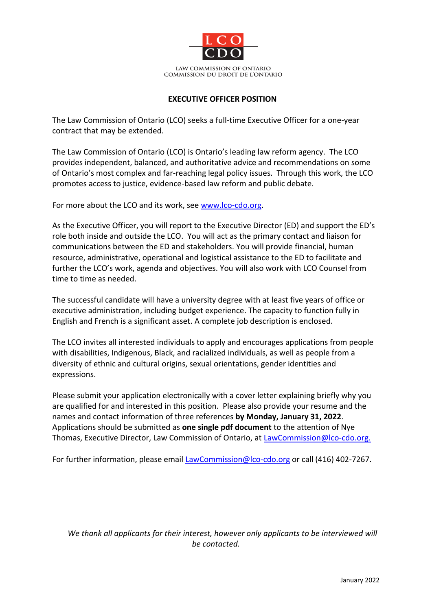

COMMISSION DU DROIT DE L'ONTARIO

#### **EXECUTIVE OFFICER POSITION**

The Law Commission of Ontario (LCO) seeks a full-time Executive Officer for a one-year contract that may be extended.

The Law Commission of Ontario (LCO) is Ontario's leading law reform agency. The LCO provides independent, balanced, and authoritative advice and recommendations on some of Ontario's most complex and far-reaching legal policy issues. Through this work, the LCO promotes access to justice, evidence-based law reform and public debate.

For more about the LCO and its work, see [www.lco-cdo.org.](http://www.lco-cdo.org/)

As the Executive Officer, you will report to the Executive Director (ED) and support the ED's role both inside and outside the LCO. You will act as the primary contact and liaison for communications between the ED and stakeholders. You will provide financial, human resource, administrative, operational and logistical assistance to the ED to facilitate and further the LCO's work, agenda and objectives. You will also work with LCO Counsel from time to time as needed.

The successful candidate will have a university degree with at least five years of office or executive administration, including budget experience. The capacity to function fully in English and French is a significant asset. A complete job description is enclosed.

The LCO invites all interested individuals to apply and encourages applications from people with disabilities, Indigenous, Black, and racialized individuals, as well as people from a diversity of ethnic and cultural origins, sexual orientations, gender identities and expressions.

Please submit your application electronically with a cover letter explaining briefly why you are qualified for and interested in this position. Please also provide your resume and the names and contact information of three references **by Monday, January 31, 2022**. Applications should be submitted as **one single pdf document** to the attention of Nye Thomas, Executive Director, Law Commission of Ontario, at [LawCommission@lco-cdo.org.](mailto:LawCommission@lco-cdo.org)

For further information, please email [LawCommission@lco-cdo.org](mailto:LawCommission@lco-cdo.org) or call (416) 402-7267.

*We thank all applicants for their interest, however only applicants to be interviewed will be contacted.*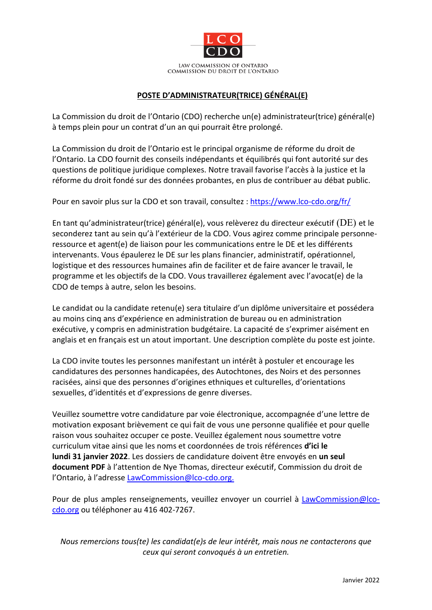

## **POSTE D'ADMINISTRATEUR(TRICE) GÉNÉRAL(E)**

La Commission du droit de l'Ontario (CDO) recherche un(e) administrateur(trice) général(e) à temps plein pour un contrat d'un an qui pourrait être prolongé.

La Commission du droit de l'Ontario est le principal organisme de réforme du droit de l'Ontario. La CDO fournit des conseils indépendants et équilibrés qui font autorité sur des questions de politique juridique complexes. Notre travail favorise l'accès à la justice et la réforme du droit fondé sur des données probantes, en plus de contribuer au débat public.

Pour en savoir plus sur la CDO et son travail, consultez : <https://www.lco-cdo.org/fr/>

En tant qu'administrateur(trice) général(e), vous relèverez du directeur exécutif ( $DE$ ) et le seconderez tant au sein qu'à l'extérieur de la CDO. Vous agirez comme principale personneressource et agent(e) de liaison pour les communications entre le DE et les différents intervenants. Vous épaulerez le DE sur les plans financier, administratif, opérationnel, logistique et des ressources humaines afin de faciliter et de faire avancer le travail, le programme et les objectifs de la CDO. Vous travaillerez également avec l'avocat(e) de la CDO de temps à autre, selon les besoins.

Le candidat ou la candidate retenu(e) sera titulaire d'un diplôme universitaire et possédera au moins cinq ans d'expérience en administration de bureau ou en administration exécutive, y compris en administration budgétaire. La capacité de s'exprimer aisément en anglais et en français est un atout important. Une description complète du poste est jointe.

La CDO invite toutes les personnes manifestant un intérêt à postuler et encourage les candidatures des personnes handicapées, des Autochtones, des Noirs et des personnes racisées, ainsi que des personnes d'origines ethniques et culturelles, d'orientations sexuelles, d'identités et d'expressions de genre diverses.

Veuillez soumettre votre candidature par voie électronique, accompagnée d'une lettre de motivation exposant brièvement ce qui fait de vous une personne qualifiée et pour quelle raison vous souhaitez occuper ce poste. Veuillez également nous soumettre votre curriculum vitae ainsi que les noms et coordonnées de trois références **d'ici le lundi 31 janvier 2022**. Les dossiers de candidature doivent être envoyés en **un seul document PDF** à l'attention de Nye Thomas, directeur exécutif, Commission du droit de l'Ontario, à l'adresse LawCommission@lco-cdo.org.

Pour de plus amples renseignements, veuillez envoyer un courriel à **[L](mailto:L)[awCommission@lco](mailto:LawCommission@lco-cdo.org)**[cdo.org](mailto:LawCommission@lco-cdo.org) ou téléphoner au 416 402-7267.

*Nous remercions tous(te) les candidat(e)s de leur intérêt, mais nous ne contacterons que ceux qui seront convoqués à un entretien.*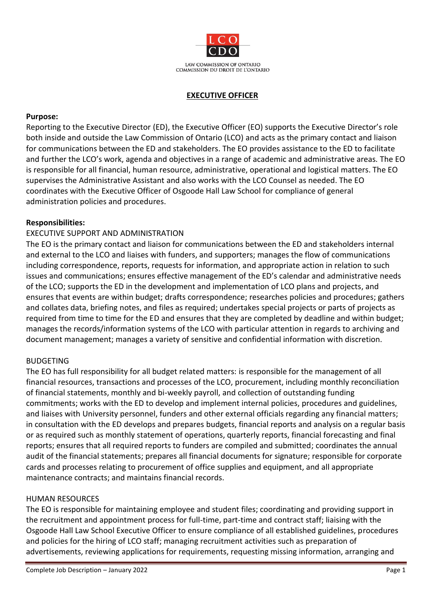

#### **EXECUTIVE OFFICER**

#### **Purpose:**

Reporting to the Executive Director (ED), the Executive Officer (EO) supports the Executive Director's role both inside and outside the Law Commission of Ontario (LCO) and acts as the primary contact and liaison for communications between the ED and stakeholders. The EO provides assistance to the ED to facilitate and further the LCO's work, agenda and objectives in a range of academic and administrative areas. The EO is responsible for all financial, human resource, administrative, operational and logistical matters. The EO supervises the Administrative Assistant and also works with the LCO Counsel as needed. The EO coordinates with the Executive Officer of Osgoode Hall Law School for compliance of general administration policies and procedures.

#### **Responsibilities:**

## EXECUTIVE SUPPORT AND ADMINISTRATION

The EO is the primary contact and liaison for communications between the ED and stakeholders internal and external to the LCO and liaises with funders, and supporters; manages the flow of communications including correspondence, reports, requests for information, and appropriate action in relation to such issues and communications; ensures effective management of the ED's calendar and administrative needs of the LCO; supports the ED in the development and implementation of LCO plans and projects, and ensures that events are within budget; drafts correspondence; researches policies and procedures; gathers and collates data, briefing notes, and files as required; undertakes special projects or parts of projects as required from time to time for the ED and ensures that they are completed by deadline and within budget; manages the records/information systems of the LCO with particular attention in regards to archiving and document management; manages a variety of sensitive and confidential information with discretion.

#### BUDGETING

The EO has full responsibility for all budget related matters: is responsible for the management of all financial resources, transactions and processes of the LCO, procurement, including monthly reconciliation of financial statements, monthly and bi-weekly payroll, and collection of outstanding funding commitments; works with the ED to develop and implement internal policies, procedures and guidelines, and liaises with University personnel, funders and other external officials regarding any financial matters; in consultation with the ED develops and prepares budgets, financial reports and analysis on a regular basis or as required such as monthly statement of operations, quarterly reports, financial forecasting and final reports; ensures that all required reports to funders are compiled and submitted; coordinates the annual audit of the financial statements; prepares all financial documents for signature; responsible for corporate cards and processes relating to procurement of office supplies and equipment, and all appropriate maintenance contracts; and maintains financial records.

#### HUMAN RESOURCES

The EO is responsible for maintaining employee and student files; coordinating and providing support in the recruitment and appointment process for full-time, part-time and contract staff; liaising with the Osgoode Hall Law School Executive Officer to ensure compliance of all established guidelines, procedures and policies for the hiring of LCO staff; managing recruitment activities such as preparation of advertisements, reviewing applications for requirements, requesting missing information, arranging and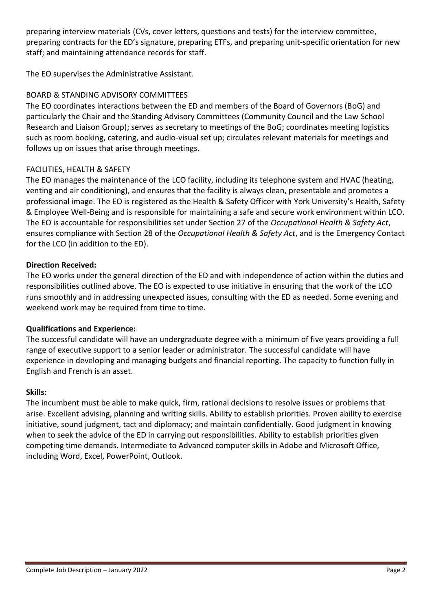preparing interview materials (CVs, cover letters, questions and tests) for the interview committee, preparing contracts for the ED's signature, preparing ETFs, and preparing unit-specific orientation for new staff; and maintaining attendance records for staff.

The EO supervises the Administrative Assistant.

# BOARD & STANDING ADVISORY COMMITTEES

The EO coordinates interactions between the ED and members of the Board of Governors (BoG) and particularly the Chair and the Standing Advisory Committees (Community Council and the Law School Research and Liaison Group); serves as secretary to meetings of the BoG; coordinates meeting logistics such as room booking, catering, and audio-visual set up; circulates relevant materials for meetings and follows up on issues that arise through meetings.

# FACILITIES, HEALTH & SAFETY

The EO manages the maintenance of the LCO facility, including its telephone system and HVAC (heating, venting and air conditioning), and ensures that the facility is always clean, presentable and promotes a professional image. The EO is registered as the Health & Safety Officer with York University's Health, Safety & Employee Well-Being and is responsible for maintaining a safe and secure work environment within LCO. The EO is accountable for responsibilities set under Section 27 of the *Occupational Health & Safety Act*, ensures compliance with Section 28 of the *Occupational Health & Safety Act*, and is the Emergency Contact for the LCO (in addition to the ED).

## **Direction Received:**

The EO works under the general direction of the ED and with independence of action within the duties and responsibilities outlined above. The EO is expected to use initiative in ensuring that the work of the LCO runs smoothly and in addressing unexpected issues, consulting with the ED as needed. Some evening and weekend work may be required from time to time.

## **Qualifications and Experience:**

The successful candidate will have an undergraduate degree with a minimum of five years providing a full range of executive support to a senior leader or administrator. The successful candidate will have experience in developing and managing budgets and financial reporting. The capacity to function fully in English and French is an asset.

## **Skills:**

The incumbent must be able to make quick, firm, rational decisions to resolve issues or problems that arise. Excellent advising, planning and writing skills. Ability to establish priorities. Proven ability to exercise initiative, sound judgment, tact and diplomacy; and maintain confidentially. Good judgment in knowing when to seek the advice of the ED in carrying out responsibilities. Ability to establish priorities given competing time demands. Intermediate to Advanced computer skills in Adobe and Microsoft Office, including Word, Excel, PowerPoint, Outlook.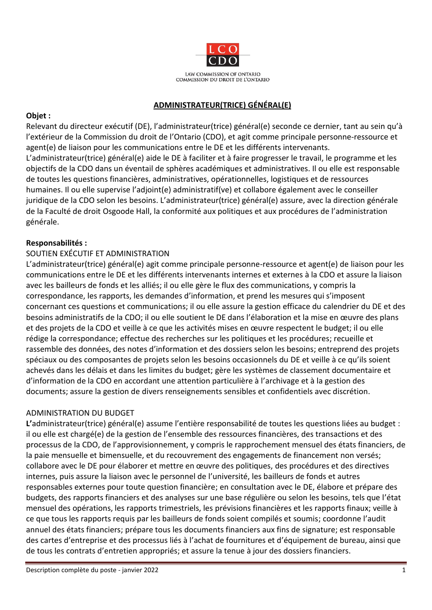

# **ADMINISTRATEUR(TRICE) GÉNÉRAL(E)**

# **Objet :**

Relevant du directeur exécutif (DE), l'administrateur(trice) général(e) seconde ce dernier, tant au sein qu'à l'extérieur de la Commission du droit de l'Ontario (CDO), et agit comme principale personne-ressource et agent(e) de liaison pour les communications entre le DE et les différents intervenants. L'administrateur(trice) général(e) aide le DE à faciliter et à faire progresser le travail, le programme et les objectifs de la CDO dans un éventail de sphères académiques et administratives. Il ou elle est responsable de toutes les questions financières, administratives, opérationnelles, logistiques et de ressources humaines. Il ou elle supervise l'adjoint(e) administratif(ve) et collabore également avec le conseiller juridique de la CDO selon les besoins. L'administrateur(trice) général(e) assure, avec la direction générale de la Faculté de droit Osgoode Hall, la conformité aux politiques et aux procédures de l'administration générale.

# **Responsabilités :**

## SOUTIEN EXÉCUTIF ET ADMINISTRATION

L'administrateur(trice) général(e) agit comme principale personne-ressource et agent(e) de liaison pour les communications entre le DE et les différents intervenants internes et externes à la CDO et assure la liaison avec les bailleurs de fonds et les alliés; il ou elle gère le flux des communications, y compris la correspondance, les rapports, les demandes d'information, et prend les mesures qui s'imposent concernant ces questions et communications; il ou elle assure la gestion efficace du calendrier du DE et des besoins administratifs de la CDO; il ou elle soutient le DE dans l'élaboration et la mise en œuvre des plans et des projets de la CDO et veille à ce que les activités mises en œuvre respectent le budget; il ou elle rédige la correspondance; effectue des recherches sur les politiques et les procédures; recueille et rassemble des données, des notes d'information et des dossiers selon les besoins; entreprend des projets spéciaux ou des composantes de projets selon les besoins occasionnels du DE et veille à ce qu'ils soient achevés dans les délais et dans les limites du budget; gère les systèmes de classement documentaire et d'information de la CDO en accordant une attention particulière à l'archivage et à la gestion des documents; assure la gestion de divers renseignements sensibles et confidentiels avec discrétion.

## ADMINISTRATION DU BUDGET

**L'**administrateur(trice) général(e) assume l'entière responsabilité de toutes les questions liées au budget : il ou elle est chargé(e) de la gestion de l'ensemble des ressources financières, des transactions et des processus de la CDO, de l'approvisionnement, y compris le rapprochement mensuel des états financiers, de la paie mensuelle et bimensuelle, et du recouvrement des engagements de financement non versés; collabore avec le DE pour élaborer et mettre en œuvre des politiques, des procédures et des directives internes, puis assure la liaison avec le personnel de l'université, les bailleurs de fonds et autres responsables externes pour toute question financière; en consultation avec le DE, élabore et prépare des budgets, des rapports financiers et des analyses sur une base régulière ou selon les besoins, tels que l'état mensuel des opérations, les rapports trimestriels, les prévisions financières et les rapports finaux; veille à ce que tous les rapports requis par les bailleurs de fonds soient compilés et soumis; coordonne l'audit annuel des états financiers; prépare tous les documents financiers aux fins de signature; est responsable des cartes d'entreprise et des processus liés à l'achat de fournitures et d'équipement de bureau, ainsi que de tous les contrats d'entretien appropriés; et assure la tenue à jour des dossiers financiers.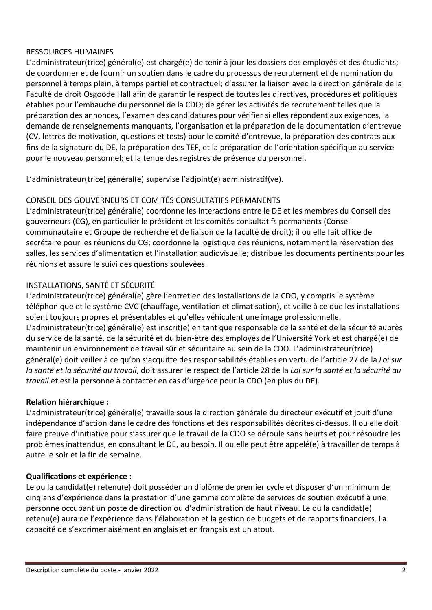# RESSOURCES HUMAINES

L'administrateur(trice) général(e) est chargé(e) de tenir à jour les dossiers des employés et des étudiants; de coordonner et de fournir un soutien dans le cadre du processus de recrutement et de nomination du personnel à temps plein, à temps partiel et contractuel; d'assurer la liaison avec la direction générale de la Faculté de droit Osgoode Hall afin de garantir le respect de toutes les directives, procédures et politiques établies pour l'embauche du personnel de la CDO; de gérer les activités de recrutement telles que la préparation des annonces, l'examen des candidatures pour vérifier si elles répondent aux exigences, la demande de renseignements manquants, l'organisation et la préparation de la documentation d'entrevue (CV, lettres de motivation, questions et tests) pour le comité d'entrevue, la préparation des contrats aux fins de la signature du DE, la préparation des TEF, et la préparation de l'orientation spécifique au service pour le nouveau personnel; et la tenue des registres de présence du personnel.

L'administrateur(trice) général(e) supervise l'adjoint(e) administratif(ve).

# CONSEIL DES GOUVERNEURS ET COMITÉS CONSULTATIFS PERMANENTS

L'administrateur(trice) général(e) coordonne les interactions entre le DE et les membres du Conseil des gouverneurs (CG), en particulier le président et les comités consultatifs permanents (Conseil communautaire et Groupe de recherche et de liaison de la faculté de droit); il ou elle fait office de secrétaire pour les réunions du CG; coordonne la logistique des réunions, notamment la réservation des salles, les services d'alimentation et l'installation audiovisuelle; distribue les documents pertinents pour les réunions et assure le suivi des questions soulevées.

# INSTALLATIONS, SANTÉ ET SÉCURITÉ

L'administrateur(trice) général(e) gère l'entretien des installations de la CDO, y compris le système téléphonique et le système CVC (chauffage, ventilation et climatisation), et veille à ce que les installations soient toujours propres et présentables et qu'elles véhiculent une image professionnelle. L'administrateur(trice) général(e) est inscrit(e) en tant que responsable de la santé et de la sécurité auprès du service de la santé, de la sécurité et du bien-être des employés de l'Université York et est chargé(e) de maintenir un environnement de travail sûr et sécuritaire au sein de la CDO. L'administrateur(trice) général(e) doit veiller à ce qu'on s'acquitte des responsabilités établies en vertu de l'article 27 de la *Loi sur la santé et la sécurité au travail*, doit assurer le respect de l'article 28 de la *Loi sur la santé et la sécurité au travail* et est la personne à contacter en cas d'urgence pour la CDO (en plus du DE).

## **Relation hiérarchique :**

L'administrateur(trice) général(e) travaille sous la direction générale du directeur exécutif et jouit d'une indépendance d'action dans le cadre des fonctions et des responsabilités décrites ci-dessus. Il ou elle doit faire preuve d'initiative pour s'assurer que le travail de la CDO se déroule sans heurts et pour résoudre les problèmes inattendus, en consultant le DE, au besoin. Il ou elle peut être appelé(e) à travailler de temps à autre le soir et la fin de semaine.

## **Qualifications et expérience :**

Le ou la candidat(e) retenu(e) doit posséder un diplôme de premier cycle et disposer d'un minimum de cinq ans d'expérience dans la prestation d'une gamme complète de services de soutien exécutif à une personne occupant un poste de direction ou d'administration de haut niveau. Le ou la candidat(e) retenu(e) aura de l'expérience dans l'élaboration et la gestion de budgets et de rapports financiers. La capacité de s'exprimer aisément en anglais et en français est un atout.